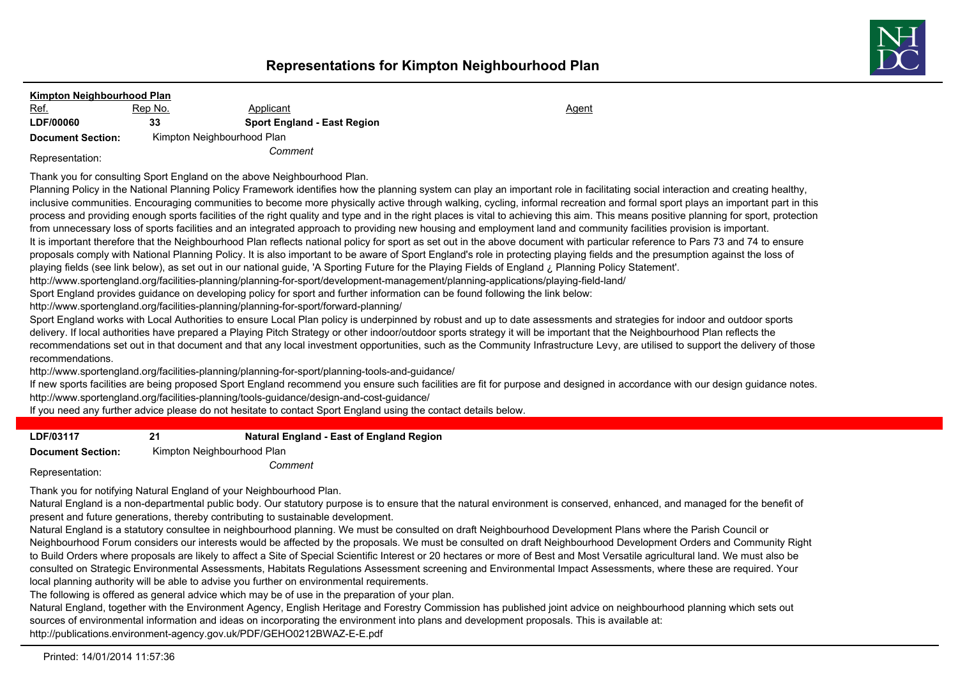

## **Kimpton Neighbourhood Plan** Ref. 6. Rep No. 2008 Applicant Agent Agent Agent Agent Agent Agent Agent Agent **LDF/00060 33 Sport England - East Region Document Section:** Kimpton Neighbourhood Plan *Comment* Representation:

Thank you for consulting Sport England on the above Neighbourhood Plan.

Planning Policy in the National Planning Policy Framework identifies how the planning system can play an important role in facilitating social interaction and creating healthy, inclusive communities. Encouraging communities to become more physically active through walking, cycling, informal recreation and formal sport plays an important part in this process and providing enough sports facilities of the right quality and type and in the right places is vital to achieving this aim. This means positive planning for sport, protection from unnecessary loss of sports facilities and an integrated approach to providing new housing and employment land and community facilities provision is important. It is important therefore that the Neighbourhood Plan reflects national policy for sport as set out in the above document with particular reference to Pars 73 and 74 to ensure proposals comply with National Planning Policy. It is also important to be aware of Sport England's role in protecting playing fields and the presumption against the loss of playing fields (see link below), as set out in our national guide, 'A Sporting Future for the Playing Fields of England ¿ Planning Policy Statement'. http://www.sportengland.org/facilities-planning/planning-for-sport/development-management/planning-applications/playing-field-land/

Sport England provides guidance on developing policy for sport and further information can be found following the link below:

http://www.sportengland.org/facilities-planning/planning-for-sport/forward-planning/

Sport England works with Local Authorities to ensure Local Plan policy is underpinned by robust and up to date assessments and strategies for indoor and outdoor sports delivery. If local authorities have prepared a Playing Pitch Strategy or other indoor/outdoor sports strategy it will be important that the Neighbourhood Plan reflects the recommendations set out in that document and that any local investment opportunities, such as the Community Infrastructure Levy, are utilised to support the delivery of those recommendations.

http://www.sportengland.org/facilities-planning/planning-for-sport/planning-tools-and-guidance/

If new sports facilities are being proposed Sport England recommend you ensure such facilities are fit for purpose and designed in accordance with our design guidance notes. http://www.sportengland.org/facilities-planning/tools-guidance/design-and-cost-guidance/

If you need any further advice please do not hesitate to contact Sport England using the contact details below.

| LDF/03117 | 21 | <b>Natural England - East of England Region</b> |
|-----------|----|-------------------------------------------------|

**Document Section:** Kimpton Neighbourhood Plan

*Comment* Representation:

Thank you for notifying Natural England of your Neighbourhood Plan.

Natural England is a non-departmental public body. Our statutory purpose is to ensure that the natural environment is conserved, enhanced, and managed for the benefit of present and future generations, thereby contributing to sustainable development.

Natural England is a statutory consultee in neighbourhood planning. We must be consulted on draft Neighbourhood Development Plans where the Parish Council or Neighbourhood Forum considers our interests would be affected by the proposals. We must be consulted on draft Neighbourhood Development Orders and Community Right to Build Orders where proposals are likely to affect a Site of Special Scientific Interest or 20 hectares or more of Best and Most Versatile agricultural land. We must also be consulted on Strategic Environmental Assessments, Habitats Regulations Assessment screening and Environmental Impact Assessments, where these are required. Your local planning authority will be able to advise you further on environmental requirements.

The following is offered as general advice which may be of use in the preparation of your plan.

Natural England, together with the Environment Agency, English Heritage and Forestry Commission has published joint advice on neighbourhood planning which sets out sources of environmental information and ideas on incorporating the environment into plans and development proposals. This is available at: http://publications.environment-agency.gov.uk/PDF/GEHO0212BWAZ-E-E.pdf